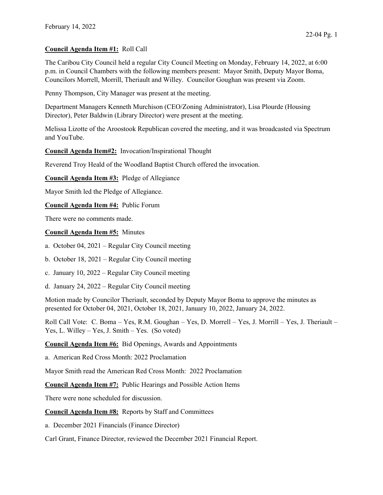## Council Agenda Item #1: Roll Call

The Caribou City Council held a regular City Council Meeting on Monday, February 14, 2022, at 6:00 p.m. in Council Chambers with the following members present: Mayor Smith, Deputy Mayor Boma, Councilors Morrell, Morrill, Theriault and Willey. Councilor Goughan was present via Zoom.

Penny Thompson, City Manager was present at the meeting.

Department Managers Kenneth Murchison (CEO/Zoning Administrator), Lisa Plourde (Housing Director), Peter Baldwin (Library Director) were present at the meeting.

Melissa Lizotte of the Aroostook Republican covered the meeting, and it was broadcasted via Spectrum and YouTube.

Council Agenda Item#2: Invocation/Inspirational Thought

Reverend Troy Heald of the Woodland Baptist Church offered the invocation.

Council Agenda Item #3: Pledge of Allegiance

Mayor Smith led the Pledge of Allegiance.

Council Agenda Item #4: Public Forum

There were no comments made.

## Council Agenda Item #5: Minutes

- a. October 04, 2021 Regular City Council meeting
- b. October 18, 2021 Regular City Council meeting
- c. January 10, 2022 Regular City Council meeting
- d. January 24, 2022 Regular City Council meeting

Motion made by Councilor Theriault, seconded by Deputy Mayor Boma to approve the minutes as presented for October 04, 2021, October 18, 2021, January 10, 2022, January 24, 2022.

Roll Call Vote: C. Boma – Yes, R.M. Goughan – Yes, D. Morrell – Yes, J. Morrill – Yes, J. Theriault – Yes, L. Willey – Yes, J. Smith – Yes. (So voted)

Council Agenda Item #6: Bid Openings, Awards and Appointments

a. American Red Cross Month: 2022 Proclamation

Mayor Smith read the American Red Cross Month: 2022 Proclamation

Council Agenda Item #7: Public Hearings and Possible Action Items

There were none scheduled for discussion.

Council Agenda Item #8: Reports by Staff and Committees

a. December 2021 Financials (Finance Director)

Carl Grant, Finance Director, reviewed the December 2021 Financial Report.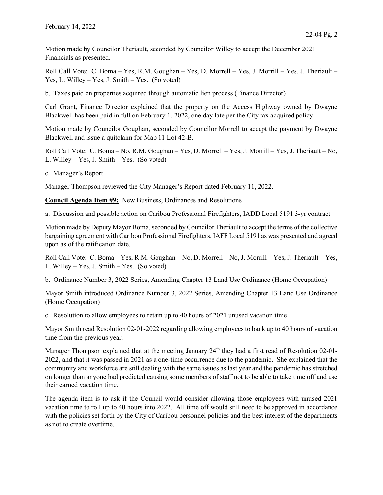Motion made by Councilor Theriault, seconded by Councilor Willey to accept the December 2021 Financials as presented.

Roll Call Vote: C. Boma – Yes, R.M. Goughan – Yes, D. Morrell – Yes, J. Morrill – Yes, J. Theriault – Yes, L. Willey – Yes, J. Smith – Yes. (So voted)

b. Taxes paid on properties acquired through automatic lien process (Finance Director)

Carl Grant, Finance Director explained that the property on the Access Highway owned by Dwayne Blackwell has been paid in full on February 1, 2022, one day late per the City tax acquired policy.

Motion made by Councilor Goughan, seconded by Councilor Morrell to accept the payment by Dwayne Blackwell and issue a quitclaim for Map 11 Lot 42-B.

Roll Call Vote: C. Boma – No, R.M. Goughan – Yes, D. Morrell – Yes, J. Morrill – Yes, J. Theriault – No, L. Willey – Yes, J. Smith – Yes. (So voted)

c. Manager's Report

Manager Thompson reviewed the City Manager's Report dated February 11, 2022.

Council Agenda Item #9: New Business, Ordinances and Resolutions

a. Discussion and possible action on Caribou Professional Firefighters, IADD Local 5191 3-yr contract

Motion made by Deputy Mayor Boma, seconded by Councilor Theriault to accept the terms of the collective bargaining agreement with Caribou Professional Firefighters, IAFF Local 5191 as was presented and agreed upon as of the ratification date.

Roll Call Vote: C. Boma – Yes, R.M. Goughan – No, D. Morrell – No, J. Morrill – Yes, J. Theriault – Yes, L. Willey – Yes, J. Smith – Yes. (So voted)

b. Ordinance Number 3, 2022 Series, Amending Chapter 13 Land Use Ordinance (Home Occupation)

Mayor Smith introduced Ordinance Number 3, 2022 Series, Amending Chapter 13 Land Use Ordinance (Home Occupation)

c. Resolution to allow employees to retain up to 40 hours of 2021 unused vacation time

Mayor Smith read Resolution 02-01-2022 regarding allowing employees to bank up to 40 hours of vacation time from the previous year.

Manager Thompson explained that at the meeting January 24<sup>th</sup> they had a first read of Resolution 02-01-2022, and that it was passed in 2021 as a one-time occurrence due to the pandemic. She explained that the community and workforce are still dealing with the same issues as last year and the pandemic has stretched on longer than anyone had predicted causing some members of staff not to be able to take time off and use their earned vacation time.

The agenda item is to ask if the Council would consider allowing those employees with unused 2021 vacation time to roll up to 40 hours into 2022. All time off would still need to be approved in accordance with the policies set forth by the City of Caribou personnel policies and the best interest of the departments as not to create overtime.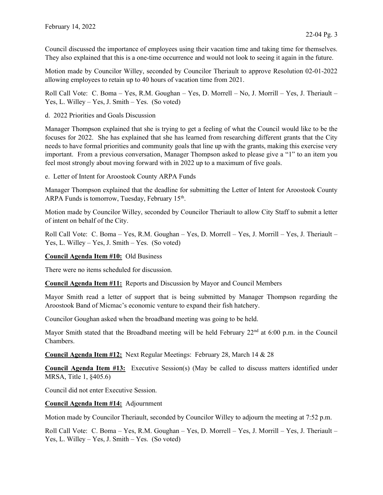Council discussed the importance of employees using their vacation time and taking time for themselves. They also explained that this is a one-time occurrence and would not look to seeing it again in the future.

Motion made by Councilor Willey, seconded by Councilor Theriault to approve Resolution 02-01-2022 allowing employees to retain up to 40 hours of vacation time from 2021.

Roll Call Vote: C. Boma – Yes, R.M. Goughan – Yes, D. Morrell – No, J. Morrill – Yes, J. Theriault – Yes, L. Willey – Yes, J. Smith – Yes. (So voted)

d. 2022 Priorities and Goals Discussion

Manager Thompson explained that she is trying to get a feeling of what the Council would like to be the focuses for 2022. She has explained that she has learned from researching different grants that the City needs to have formal priorities and community goals that line up with the grants, making this exercise very important. From a previous conversation, Manager Thompson asked to please give a "1" to an item you feel most strongly about moving forward with in 2022 up to a maximum of five goals.

e. Letter of Intent for Aroostook County ARPA Funds

Manager Thompson explained that the deadline for submitting the Letter of Intent for Aroostook County ARPA Funds is tomorrow, Tuesday, February 15<sup>th</sup>.

Motion made by Councilor Willey, seconded by Councilor Theriault to allow City Staff to submit a letter of intent on behalf of the City.

Roll Call Vote: C. Boma – Yes, R.M. Goughan – Yes, D. Morrell – Yes, J. Morrill – Yes, J. Theriault – Yes, L. Willey – Yes, J. Smith – Yes. (So voted)

Council Agenda Item #10: Old Business

There were no items scheduled for discussion.

Council Agenda Item #11: Reports and Discussion by Mayor and Council Members

Mayor Smith read a letter of support that is being submitted by Manager Thompson regarding the Aroostook Band of Micmac's economic venture to expand their fish hatchery.

Councilor Goughan asked when the broadband meeting was going to be held.

Mayor Smith stated that the Broadband meeting will be held February 22<sup>nd</sup> at 6:00 p.m. in the Council Chambers.

Council Agenda Item #12: Next Regular Meetings: February 28, March 14 & 28

Council Agenda Item #13: Executive Session(s) (May be called to discuss matters identified under MRSA, Title 1, §405.6)

Council did not enter Executive Session.

Council Agenda Item #14: Adjournment

Motion made by Councilor Theriault, seconded by Councilor Willey to adjourn the meeting at 7:52 p.m.

Roll Call Vote: C. Boma – Yes, R.M. Goughan – Yes, D. Morrell – Yes, J. Morrill – Yes, J. Theriault – Yes, L. Willey – Yes, J. Smith – Yes. (So voted)